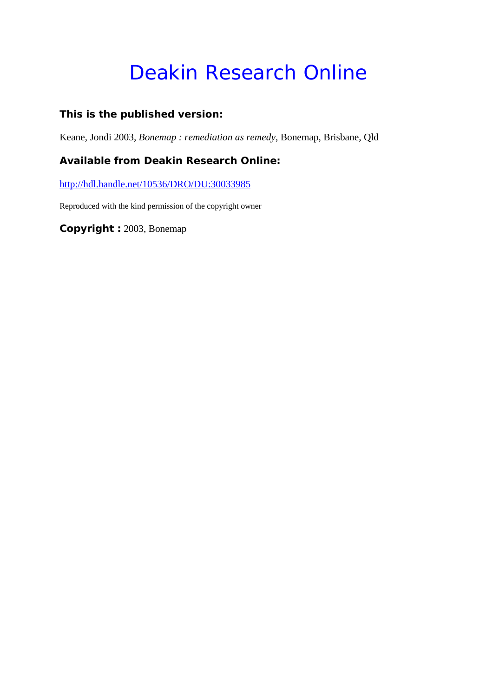## Deakin Research Online

## **This is the published version:**

Keane, Jondi 2003*, Bonemap : remediation as remedy*, Bonemap, Brisbane, Qld

## **Available from Deakin Research Online:**

http://hdl.handle.net/10536/DRO/DU:30033985

Reproduced with the kind permission of the copyright owner

**Copyright :** 2003, Bonemap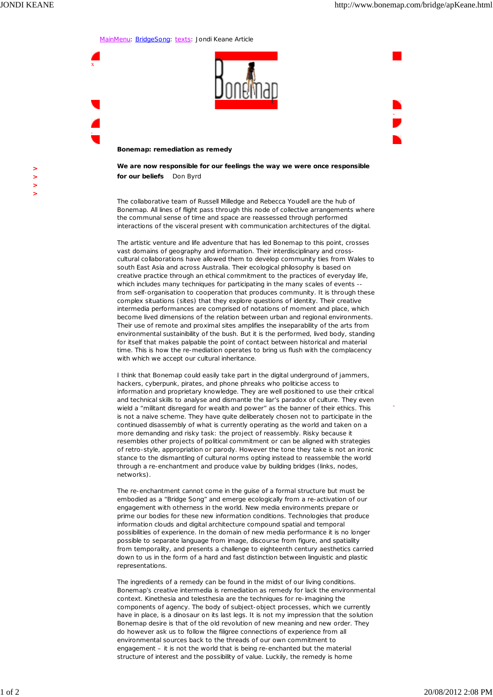**> > > >** x

.

-

-

MainMenu: BridgeSong: texts: Jondi Keane Article



**Bonemap: remediation as remedy**

**We are now responsible for our feelings the way we were once responsible** for our beliefs Don Byrd

The collaborative team of Russell Milledge and Rebecca Youdell are the hub of Bonemap. All lines of flight pass through this node of collective arrangements where the communal sense of time and space are reassessed through performed interactions of the visceral present with communication architectures of the digital.

The artistic venture and life adventure that has led Bonemap to this point, crosses vast domains of geography and information. Their interdisciplinary and crosscultural collaborations have allowed them to develop community ties from Wales to south East Asia and across Australia. Their ecological philosophy is based on creative practice through an ethical commitment to the practices of everyday life, which includes many techniques for participating in the many scales of events -from self-organisation to cooperation that produces community. It is through these complex situations (sites) that they explore questions of identity. Their creative intermedia performances are comprised of notations of moment and place, which become lived dimensions of the relation between urban and regional environments. Their use of remote and proximal sites amplifies the inseparability of the arts from environmental sustainibility of the bush. But it is the performed, lived body, standing for itself that makes palpable the point of contact between historical and material time. This is how the re-mediation operates to bring us flush with the complacency with which we accept our cultural inheritance.

I think that Bonemap could easily take part in the digital underground of jammers, hackers, cyberpunk, pirates, and phone phreaks who politicise access to information and proprietary knowledge. They are well positioned to use their critical and technical skills to analyse and dismantle the liar's paradox of culture. They even wield a "militant disregard for wealth and power" as the banner of their ethics. This is not a naive scheme. They have quite deliberately chosen not to participate in the continued disassembly of what is currently operating as the world and taken on a more demanding and risky task: the project of reassembly. Risky because it resembles other projects of political commitment or can be aligned with strategies of retro-style, appropriation or parody. However the tone they take is not an ironic stance to the dismantling of cultural norms opting instead to reassemble the world through a re-enchantment and produce value by building bridges (links, nodes, networks).

The re-enchantment cannot come in the guise of a formal structure but must be embodied as a "Bridge Song" and emerge ecologically from a re-activation of our engagement with otherness in the world. New media environments prepare or prime our bodies for these new information conditions. Technologies that produce information clouds and digital architecture compound spatial and temporal possibilities of experience. In the domain of new media performance it is no longer possible to separate language from image, discourse from figure, and spatiality from temporality, and presents a challenge to eighteenth century aesthetics carried down to us in the form of a hard and fast distinction between linguistic and plastic representations.

The ingredients of a remedy can be found in the midst of our living conditions. Bonemap's creative intermedia is remediation as remedy for lack the environmental context. Kinethesia and telesthesia are the techniques for re-imagining the components of agency. The body of subject-object processes, which we currently have in place, is a dinosaur on its last legs. It is not my impression that the solution Bonemap desire is that of the old revolution of new meaning and new order. They do however ask us to follow the filigree connections of experience from all environmental sources back to the threads of our own commitment to engagement – it is not the world that is being re-enchanted but the material structure of interest and the possibility of value. Luckily, the remedy is home